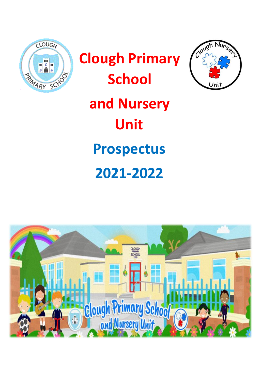



Clough

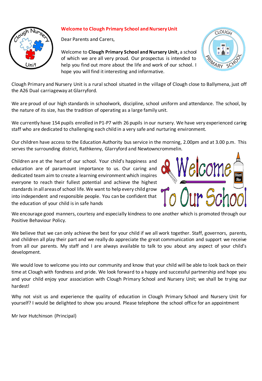

# **Welcome to Clough Primary School and Nursery Unit**

Dear Parents and Carers,

Welcome to **Clough Primary School and Nursery Unit,** a school of which we are all very proud. Our prospectus is intended to help you find out more about the life and work of our school. I hope you will find it interesting and informative.



Clough Primary and Nursery Unit is a rural school situated in the village of Clough close to Ballymena, just off the A26 Dual carriageway at Glarryford.

We are proud of our high standards in schoolwork, discipline, school uniform and attendance. The school, by the nature of its size, has the tradition of operating as a large family unit.

We currently have 154 pupils enrolled in P1-P7 with 26 pupils in our nursery. We have very experienced caring staff who are dedicated to challenging each child in a very safe and nurturing environment.

Our children have access to the Education Authority bus service in the morning, 2.00pm and at 3.00 p.m. This serves the surrounding district, Rathkenny, Glarryford and Newtowncrommelin.

Children are at the heart of our school. Your child's happiness and education are of paramount importance to us. Our caring and dedicated team aim to create a learning environment which inspires everyone to reach their fullest potential and achieve the highest standards in all areas of school life. We want to help every child grow into independent and responsible people. You can be confident that the education of your child is in safe hands



We encourage good manners, courtesy and especially kindness to one another which is promoted through our Positive Behaviour Policy.

We believe that we can only achieve the best for your child if we all work together. Staff, governors, parents, and children all play their part and we really do appreciate the great communication and support we receive from all our parents. My staff and I are always available to talk to you about any aspect of your child's development.

We would love to welcome you into our community and know that your child will be able to look back on their time at Clough with fondness and pride. We look forward to a happy and successful partnership and hope you and your child enjoy your association with Clough Primary School and Nursery Unit; we shall be tr ying our hardest!

Why not visit us and experience the quality of education in Clough Primary School and Nursery Unit for yourself? I would be delighted to show you around. Please telephone the school office for an appointment

Mr Ivor Hutchinson (Principal)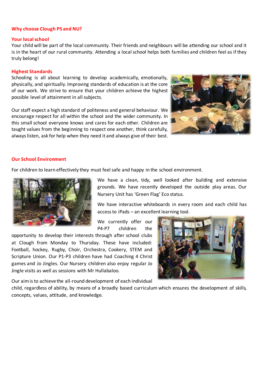## **Why choose Clough PS and NU?**

#### **Your local school**

Your child will be part of the local community. Their friends and neighbours will be attending our school and it is in the heart of our rural community. Attending a local school helps both families and children feel as if they truly belong!

#### **Highest Standards**

Schooling is all about learning to develop academically, emotionally, physically, and spiritually. Improving standards of education is at the core of our work. We strive to ensure that your children achieve the highest possible level of attainment in all subjects.

Our staff expect a high standard of politeness and general behaviour. We encourage respect for all within the school and the wider community. In this small school everyone knows and cares for each other. Children are taught values from the beginning to respect one another, think carefully, always listen, ask for help when they need it and always give of their best.



#### **Our School Environment**

For children to learn effectively they must feel safe and happy in the school environment.



We have a clean, tidy, well looked after building and extensive grounds. We have recently developed the outside play areas. Our Nursery Unit has 'Green Flag' Eco status.

We have interactive whiteboards in every room and each child has access to iPads – an excellent learning tool.

We currently offer our P4-P7 children the

opportunity to develop their interests through after school clubs at Clough from Monday to Thursday. These have included: Football, hockey, Rugby, Choir, Orchestra, Cookery, STEM and Scripture Union. Our P1-P3 children have had Coaching 4 Christ games and Jo Jingles. Our Nursery children also enjoy regular Jo Jingle visits as well as sessions with Mr Hullabaloo.



Our aim is to achieve the all-round development of each individual

child, regardless of ability, by means of a broadly based curriculum which ensures the development of skills, concepts, values, attitude, and knowledge.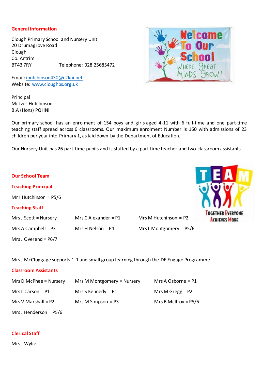## **General information**

Clough Primary School and Nursery Unit 20 Drumagrove Road Clough Co. Antrim BT43 7RY Telephone: 028 25685472

Email[: ihutchinson430@c2kni.net](mailto:ihutchinson430@c2kni.net) Website: [www.cloughps.org.uk](http://www.cloughps.org.uk/)

Principal Mr Ivor Hutchinson B.A (Hons) PQHNI

**Our School Team**

**Teaching Principal** 

**Teaching Staff** 

Mr I Hutchinson = P5/6

Our primary school has an enrolment of 154 boys and girls aged 4-11 with 6 full-time and one part-time teaching staff spread across 6 classrooms. Our maximum enrolment Number is 160 with admissions of 23 children per year into Primary 1, as laid down by the Department of Education.

Our Nursery Unit has 26 part-time pupils and is staffed by a part time teacher and two classroom assistants.

Mrs J McCluggage supports 1-1 and small group learning through the DE Engage Programme.

Mrs J Scott = Nursery Mrs C Alexander =  $P1$  Mrs M Hutchinson =  $P2$ 

#### **Classroom Assistants**

Mrs J Overend = P6/7

| Mrs D McPhee = $N$ ursery | Mrs M Montgomery = Nursery | Mrs A Osborne = $P1$   |
|---------------------------|----------------------------|------------------------|
| Mrs L Carson = $P1$       | Mrs S Kennedy = $P1$       | Mrs M Gregg = $P2$     |
| Mrs V Marshall = $P2$     | Mrs M Simpson = $P3$       | Mrs B McIlroy = $P5/6$ |
| Mrs J Henderson = $P5/6$  |                            |                        |

# **Clerical Staff**

Mrs J Wylie



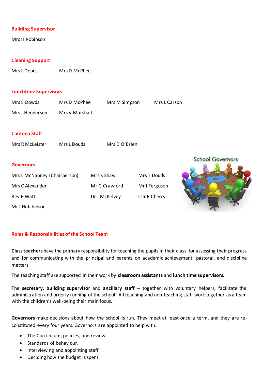## **Building Supervisor**

Mrs H Robinson

## **Cleaning Support**

Mrs L Douds Mrs D McPhee

#### **Lunchtime Supervisors**

| Mrs E Dowds                  | Mrs D McPhee   | Mrs M Simpson |               | Mrs L Carson |                         |
|------------------------------|----------------|---------------|---------------|--------------|-------------------------|
| Mrs J Henderson              | Mrs V Marshall |               |               |              |                         |
|                              |                |               |               |              |                         |
| <b>Canteen Staff</b>         |                |               |               |              |                         |
| Mrs R McLeister              | Mrs L Douds    | Mrs D O'Brien |               |              |                         |
|                              |                |               |               |              | <b>School Governors</b> |
| <b>Governors</b>             |                |               |               |              |                         |
| Mrs L McNabney (Chairperson) |                | Mrs K Shaw    | Mrs T Douds   |              |                         |
| Mrs C Alexander              |                | Mr G Crawford | Mr I Ferguson |              |                         |
| <b>Rev R Watt</b>            |                | Dr J McKelvey | Cllr R Cherry |              |                         |
| Mr I Hutchinson              |                |               |               |              |                         |
|                              |                |               |               |              |                         |

#### **Roles & Responsibilities of the School Team**

**Class teachers** have the primary responsibility for teaching the pupils in their class; for assessing their progress and for communicating with the principal and parents on academic achievement, pastoral, and discipline matters.

The teaching staff are supported in their work by **classroom assistants** and **lunch time supervisors.** 

The **secretary, building supervisor** and **ancillary staff** – together with voluntary helpers, facilitate the administration and orderly running of the school. All teaching and non-teaching staff work together as a team with the children's well-being their main focus.

**Governors** make decisions about how the school is run. They meet at least once a term, and they are reconstituted every four years. Governors are appointed to help with:

- The Curriculum, policies, and review.
- Standards of behaviour.
- Interviewing and appointing staff
- Deciding how the budget is spent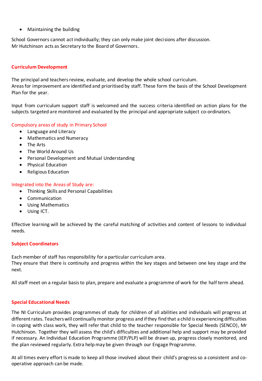• Maintaining the building

School Governors cannot act individually; they can only make joint decisions after discussion. Mr Hutchinson acts as Secretary to the Board of Governors.

# **Curriculum Development**

The principal and teachers review, evaluate, and develop the whole school curriculum. Areas for improvement are identified and prioritised by staff. These form the basis of the School Development Plan for the year.

Input from curriculum support staff is welcomed and the success criteria identified on action plans for the subjects targeted are monitored and evaluated by the principal and appropriate subject co-ordinators.

# Compulsory areas of study in Primary School

- Language and Literacy
- Mathematics and Numeracy
- The Arts
- The World Around Us
- Personal Development and Mutual Understanding
- Physical Education
- Religious Education

# Integrated into the Areas of Study are:

- Thinking Skills and Personal Capabilities
- Communication
- Using Mathematics
- Using ICT.

Effective learning will be achieved by the careful matching of activities and content of lessons to individual needs.

# **Subject Coordinators**

Each member of staff has responsibility for a particular curriculum area. They ensure that there is continuity and progress within the key stages and between one key stage and the next.

All staff meet on a regular basis to plan, prepare and evaluate a programme of work for the half term ahead.

# **Special Educational Needs**

The NI Curriculum provides programmes of study for children of all abilities and individuals will progress at different rates. Teachers will continually monitor progress and if they find that a child is experiencing difficulties in coping with class work, they will refer that child to the teacher responsible for Special Needs (SENCO), Mr Hutchinson. Together they will assess the child's difficulties and additional help and support may be provided if necessary. An Individual Education Programme (IEP/PLP) will be drawn up, progress closely monitored, and the plan reviewed regularly. Extra help may be given through our Engage Programme.

At all times every effort is made to keep all those involved about their child's progress so a consistent and cooperative approach can be made.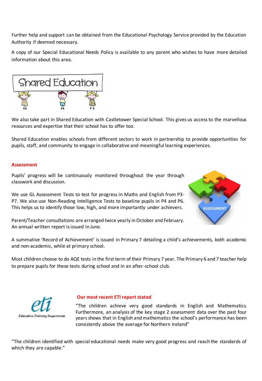Further help and support can be obtained from the Educational Psychology Service provided by the Education Authority if deemed necessary.

A copy of our Special Educational Needs Policy is available to any parent who wishes to have more detailed information about this area.



We also take part in Shared Education with Castletower Special School. This gives us access to the marvellous resources and expertise that their school has to offer too.

Shared Education enables schools from different sectors to work in partnership to provide opportunities for pupils, staff, and community to engage in collaborative and meaningful learning experiences.

## **Assessment**

Pupils' progress will be continuously monitored throughout the year through classwork and discussion.

We use GL Assessment Tests to test for progress in Maths and English from P3- P7. We also use Non-Reading Intelligence Tests to baseline pupils in P4 and P6. This helps us to identify those low, high, and more importantly under achievers.



Parent/Teacher consultations are arranged twice yearly in October and February. An annual written report is issued in June.

A summative 'Record of Achievement' is issued in Primary 7 detailing a child's achievements, both academic and non-academic, while at primary school.

Most children choose to do AQE tests in the first term of their Primary 7 year. The Primary 6 and 7 teacher help to prepare pupils for these tests during school and in an after-school club.



#### **Our most recent ETI report stated**

"The children achieve very good standards in English and Mathematics. Furthermore, an analysis of the key stage 2 assessment data over the past four years shows that in English and mathematics the school's performance has been consistently above the average for Northern Ireland"

"The children identified with special educational needs make very good progress and reach the standards of which they are capable."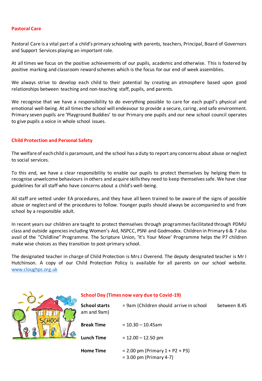### **Pastoral Care**

Pastoral Care is a vital part of a child's primary schooling with parents, teachers, Principal, Board of Governors and Support Services playing an important role.

At all times we focus on the positive achievements of our pupils, academic and otherwise. This is fostered by positive marking and classroom reward schemes which is the focus for our end of week assemblies.

We always strive to develop each child to their potential by creating an atmosphere based upon good relationships between teaching and non-teaching staff, pupils, and parents.

We recognise that we have a responsibility to do everything possible to care for each pupil's physical and emotional well-being. At all times the school will endeavour to provide a secure, caring, and safe environment. Primary seven pupils are 'Playground Buddies' to our Primary one pupils and our new school council operates to give pupils a voice in whole school issues.

## **Child Protection and Personal Safety**

The welfare of each child is paramount, and the school has a duty to report any concerns about abuse or neglect to social services.

To this end, we have a clear responsibility to enable our pupils to protect themselves by helping them to recognise unwelcome behaviours in others and acquire skills they need to keep themselves safe. We have clear guidelines for all staff who have concerns about a child's well-being.

All staff are vetted under EA procedures, and they have all been trained to be aware of the signs of possible abuse or neglect and of the procedures to follow. Younger pupils should always be accompanied to and from school by a responsible adult.

In recent years our children are taught to protect themselves through programmes facilitated through PDMU class and outside agencies including Women's Aid, NSPCC, PSNI and Godmodex. Children in Primary 6 & 7 also avail of the "Childline" Programme. The Scripture Union, 'It's Your Move' Programme helps the P7 children make wise choices as they transition to post-primary school.

The designated teacher in charge of Child Protection is Mrs J Overend. The deputy designated teacher is Mr I Hutchinson. A copy of our Child Protection Policy is available for all parents on our school website. [www.cloughps.org.uk](http://www.cloughps.org.uk/)



# **School Day (Times now vary due to Covid-19)**

| <b>School starts</b><br>am and 9am) | = 9am (Children should arrive in school                           | between 8.45 |
|-------------------------------------|-------------------------------------------------------------------|--------------|
| <b>Break Time</b>                   | $= 10.30 - 10.45$ am                                              |              |
| <b>Lunch Time</b>                   | $= 12.00 - 12.50$ pm                                              |              |
| <b>Home Time</b>                    | $= 2.00$ pm (Primary $1 + P2 + P3$ )<br>$= 3.00$ pm (Primary 4-7) |              |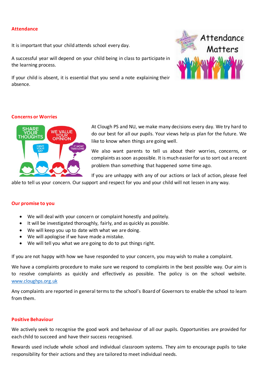# **Attendance**

It is important that your child attends school every day.

A successful year will depend on your child being in class to participate in the learning process.

If your child is absent, it is essential that you send a note explaining their absence.



## **Concerns or Worries**



At Clough PS and NU, we make many decisions every day. We try hard to do our best for all our pupils. Your views help us plan for the future. We like to know when things are going well.

We also want parents to tell us about their worries, concerns, or complaints as soon as possible. It is much easier for us to sort out a recent problem than something that happened some time ago.

If you are unhappy with any of our actions or lack of action, please feel

able to tell us your concern. Our support and respect for you and your child will not lessen in any way.

#### **Our promise to you**

- We will deal with your concern or complaint honestly and politely.
- It will be investigated thoroughly, fairly, and as quickly as possible.
- We will keep you up to date with what we are doing.
- We will apologise if we have made a mistake.
- We will tell you what we are going to do to put things right.

If you are not happy with how we have responded to your concern, you may wish to make a complaint.

We have a complaints procedure to make sure we respond to complaints in the best possible way. Our aim is to resolve complaints as quickly and effectively as possible. The policy is on the school website. [www.cloughps.org.uk](http://www.cloughps.org.uk/)

Any complaints are reported in general terms to the school's Board of Governors to enable the school to learn from them.

### **Positive Behaviour**

We actively seek to recognise the good work and behaviour of all our pupils. Opportunities are provided for each child to succeed and have their success recognised.

Rewards used include whole school and individual classroom systems. They aim to encourage pupils to take responsibility for their actions and they are tailored to meet individual needs.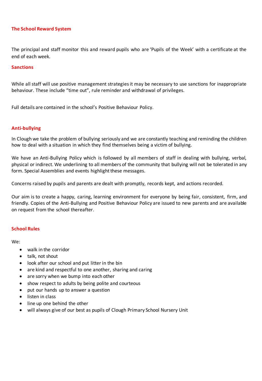# **The School Reward System**

The principal and staff monitor this and reward pupils who are 'Pupils of the Week' with a certificate at the end of each week.

#### **Sanctions**

While all staff will use positive management strategies it may be necessary to use sanctions for inappropriate behaviour. These include "time out", rule reminder and withdrawal of privileges.

Full details are contained in the school's Positive Behaviour Policy.

## **Anti-bullying**

In Clough we take the problem of bullying seriously and we are constantly teaching and reminding the children how to deal with a situation in which they find themselves being a victim of bullying.

We have an Anti-Bullying Policy which is followed by all members of staff in dealing with bullying, verbal, physical or indirect. We underlining to all members of the community that bullying will not be tolerated in any form. Special Assemblies and events highlight these messages.

Concerns raised by pupils and parents are dealt with promptly, records kept, and actions recorded.

Our aim is to create a happy, caring, learning environment for everyone by being fair, consistent, firm, and friendly. Copies of the Anti-Bullying and Positive Behaviour Policy are issued to new parents and are available on request from the school thereafter.

#### **School Rules**

We:

- walk in the corridor
- talk, not shout
- look after our school and put litter in the bin
- are kind and respectful to one another, sharing and caring
- are sorry when we bump into each other
- show respect to adults by being polite and courteous
- put our hands up to answer a question
- listen in class
- line up one behind the other
- will always give of our best as pupils of Clough Primary School Nursery Unit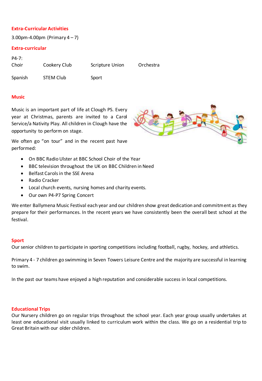# **Extra-Curricular Activities**

3.00pm-4.00pm (Primary  $4 - 7$ )

## **Extra-curricular**

| $P4-7:$ |                  |                        |           |
|---------|------------------|------------------------|-----------|
| Choir   | Cookery Club     | <b>Scripture Union</b> | Orchestra |
| Spanish | <b>STEM Club</b> | Sport                  |           |

### **Music**

Music is an important part of life at Clough PS. Every year at Christmas, parents are invited to a Carol Service/a Nativity Play. All children in Clough have the opportunity to perform on stage.

We often go "on tour" and in the recent past have performed:

- On BBC Radio Ulster at BBC School Choir of the Year
- BBC television throughout the UK on BBC Children in Need
- Belfast Carols in the SSE Arena
- Radio Cracker
- Local church events, nursing homes and charity events.
- Our own P4-P7 Spring Concert

We enter Ballymena Music Festival each year and our children show great dedication and commitment as they prepare for their performances. In the recent years we have consistently been the overall best school at the festival.

#### **Sport**

Our senior children to participate in sporting competitions including football, rugby, hockey, and athletics.

Primary 4 - 7 children go swimming in Seven Towers Leisure Centre and the majority are successful in learning to swim.

In the past our teams have enjoyed a high reputation and considerable success in local competitions.

#### **Educational Trips**

Our Nursery children go on regular trips throughout the school year. Each year group usually undertakes at least one educational visit usually linked to curriculum work within the class. We go on a residential trip to Great Britain with our older children.

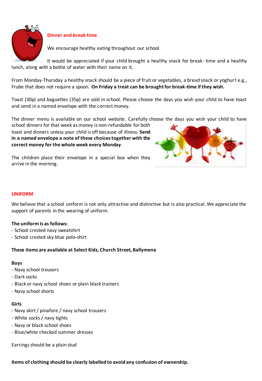

# **Dinner and break time**

We encourage healthy eating throughout our school.

It would be appreciated if your child brought a healthy snack for break- time and a healthy lunch, along with a bottle of water with their name on it.

From Monday-Thursday a healthy snack should be a piece of fruit or vegetables, a bread snack or yoghurt e.g., Frube that does not require a spoon. **On Friday a treat can be brought for break-time if they wish.**

Toast (30p) and baguettes (35p) are sold in school. Please choose the days you wish your child to have toast and send in a named envelope with the correct money.

The dinner menu is available on our school website. Carefully choose the days you wish your child to have

school dinners for that week as money is non-refundable for both toast and dinners unless your child is off because of illness. **Send in a named envelope a note of these choices together with the correct money for the whole week every Monday**.

The children place their envelope in a special box when they arrive in the morning.

# **UNIFORM**

We believe that a school uniform is not only attractive and distinctive but is also practical. We appreciate the support of parents in the wearing of uniform.

# **The uniform is as follows:**

- School crested navy sweatshirt
- School crested sky-blue polo-shirt

# **These items are available at Select Kidz, Church Street, Ballymena**

# **Boys**

- Navy school trousers
- Dark socks
- Black or navy school shoes or plain black trainers
- Navy school shorts

# **Girls**

- Navy skirt / pinafore / navy school trousers
- White socks / navy tights
- Navy or black school shoes
- Blue/white checked summer dresses

Earrings should be a plain stud

**Items of clothing should be clearly labelled to avoid any confusion of ownership.**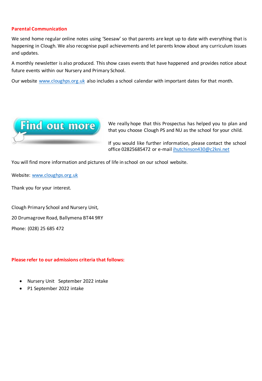# **Parental Communication**

We send home regular online notes using 'Seesaw' so that parents are kept up to date with everything that is happening in Clough. We also recognise pupil achievements and let parents know about any curriculum issues and updates.

A monthly newsletter is also produced. This show cases events that have happened and provides notice about future events within our Nursery and Primary School.

Our website [www.cloughps.org.uk](http://www.cloughps.org.uk/) also includes a school calendar with important dates for that month.



We really hope that this Prospectus has helped you to plan and that you choose Clough PS and NU as the school for your child.

If you would like further information, please contact the school office 02825685472 or e-mai[l ihutchinson430@c2kni.net](mailto:ihutchinson430@c2kni.net) 

You will find more information and pictures of life in school on our school website.

Website: [www.cloughps.org.uk](http://www.cloughps.org.uk/)

Thank you for your interest.

Clough Primary School and Nursery Unit, 20 Drumagrove Road, Ballymena BT44 9RY Phone: (028) 25 685 472

# **Please refer to our admissions criteria that follows:**

- Nursery Unit September 2022 intake
- P1 September 2022 intake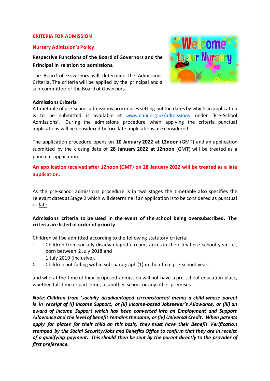#### **CRITERIA FOR ADMISSION**

#### **Nursery Admission's Policy**

**Respective Functions of the Board of Governors and the Principal in relation to admissions.** 

The Board of Governors will determine the Admissions Criteria. The criteria will be applied by the principal and a sub-committee of the Board of Governors.



#### **Admissions Criteria**

A timetable of pre-school admissions procedures setting out the dates by which an application is to be submitted is available at [www.eani.org.uk/admissions](http://www.eani.org.uk/admissions) under 'Pre-School Admissions'. During the admissions procedure when applying the criteria punctual applications will be considered before late applications are considered.

The application procedure opens on **10 January 2022 at 12noon** (GMT) and an application submitted by the closing date of **28 January 2022 at 12noon** (GMT) will be treated as a punctual application.

**An application received after 12noon (GMT) on 28 January 2022 will be treated as a late application.**

As the pre-school admissions procedure is in two stages the timetable also specifies the relevant dates at Stage 2 which will determine if an application is to be considered as punctual or late.

# **Admissions criteria to be used in the event of the school being oversubscribed. The criteria are listed in order of priority.**

Children will be admitted according to the following statutory criteria:

- 1. Children from socially disadvantaged circumstances in their final pre-school year i.e., born between 2 July 2018 and
	- 1 July 2019 (inclusive).
- 2. Children not falling within sub-paragraph (1) in their final pre-school year.

and who at the time of their proposed admission will not have a pre-school education place, whether full-time or part-time, at another school or any other premises.

*Note: Children from 'socially disadvantaged circumstances' means a child whose parent is in receipt of (i) Income Support, or (ii) Income-based Jobseeker's Allowance, or (iii) an award of Income Support which has been converted into an Employment and Support Allowance and the level of benefit remains the same, or (iv) Universal Credit. When parents apply for places for their child on this basis, they must have their Benefit Verification stamped by the Social Security/Jobs and Benefits Office to confirm that they are in receipt of a qualifying payment. This should then be sent by the parent directly to the provider of first preference.*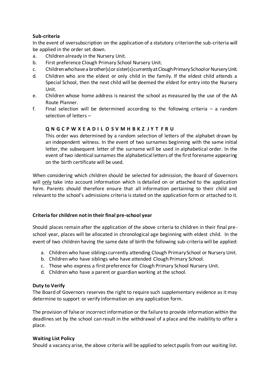# **Sub-criteria**

In the event of oversubscription on the application of a statutory criterion the sub-criteria will be applied in the order set down.

- a. Children already in the Nursery Unit.
- b. First preference Clough Primary School Nursery Unit.
- c. Children who have a brother(s) or sister(s) currently at Clough Primary School or Nursery Unit.
- d. Children who are the eldest or only child in the family. If the eldest child attends a Special School, then the next child will be deemed the eldest for entry into the Nursery Unit.
- e. Children whose home address is nearest the school as measured by the use of the AA Route Planner.
- f. Final selection will be determined according to the following criteria  $-$  a random selection of letters –

## **Q N G C P W X E A D I L O S V M H B K Z J Y T F R U**

This order was determined by a random selection of letters of the alphabet drawn by an independent witness. In the event of two surnames beginning with the same initial letter, the subsequent letter of the surname will be used in alphabetical order. In the event of two identical surnames the alphabetical letters of the first forename appearing on the birth certificate will be used.

When considering which children should be selected for admission, the Board of Governors will only take into account information which is detailed on or attached to the application form. Parents should therefore ensure that all information pertaining to their child and relevant to the school's admissions criteria is stated on the application form or attached to it.

## **Criteria for children not in their final pre-school year**

Should places remain after the application of the above criteria to children in their final preschool year, places will be allocated in chronological age beginning with eldest child. In the event of two children having the same date of birth the following sub-criteria will be applied:

- a. Children who have siblings currently attending Clough Primary School or Nursery Unit.
- b. Children who have siblings who have attended Clough Primary School.
- c. Those who express a first preference for Clough Primary School Nursery Unit.
- d. Children who have a parent or guardian working at the school.

## **Duty to Verify**

The Board of Governors reserves the right to require such supplementary evidence as it may determine to support or verify information on any application form.

The provision of false or incorrect information or the failure to provide information within the deadlines set by the school can result in the withdrawal of a place and the inability to offer a place.

## **Waiting List Policy**

Should a vacancy arise, the above criteria will be applied to select pupils from our waiting list.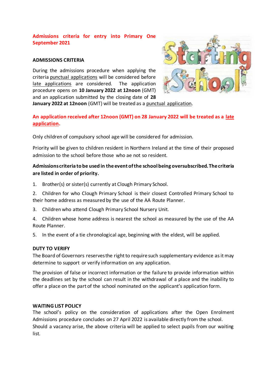# **Admissions criteria for entry into Primary One September 2021**

## **ADMISSIONS CRITERIA**

During the admissions procedure when applying the criteria punctual applications will be considered before late applications are considered. The application procedure opens on **10 January 2022 at 12noon** (GMT) and an application submitted by the closing date of **28** 



**January 2022 at 12noon** (GMT) will be treated as a punctual application.

# **An application received after 12noon (GMT) on 28 January 2022 will be treated as a late application.**

Only children of compulsory school age will be considered for admission.

Priority will be given to children resident in Northern Ireland at the time of their proposed admission to the school before those who ae not so resident.

# **Admissions criteria to be used in the event of the school being oversubscribed. The criteria are listed in order of priority.**

- 1. Brother(s) or sister(s) currently at Clough Primary School.
- 2. Children for who Clough Primary School is their closest Controlled Primary School to their home address as measured by the use of the AA Route Planner.
- 3. Children who attend Clough Primary School Nursery Unit.

4. Children whose home address is nearest the school as measured by the use of the AA Route Planner.

5. In the event of a tie chronological age, beginning with the eldest, will be applied.

## **DUTY TO VERIFY**

The Board of Governors reserves the right to require such supplementary evidence as it may determine to support or verify information on any application.

The provision of false or incorrect information or the failure to provide information within the deadlines set by the school can result in the withdrawal of a place and the inability to offer a place on the part of the school nominated on the applicant's application form.

## **WAITING LIST POLICY**

The school's policy on the consideration of applications after the Open Enrolment Admissions procedure concludes on 27 April 2022 is available directly from the school. Should a vacancy arise, the above criteria will be applied to select pupils from our waiting list.